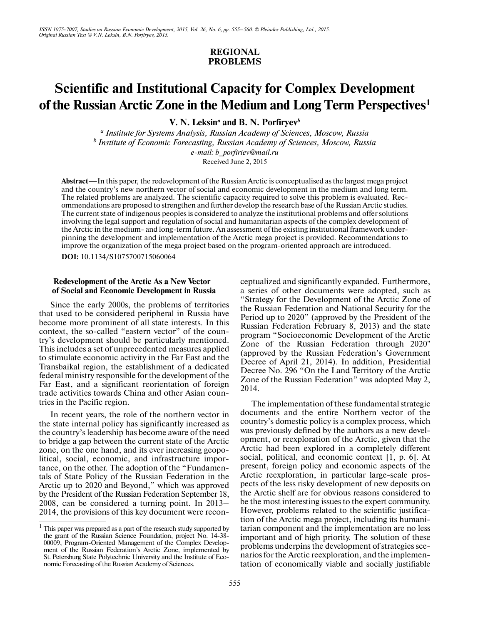# **REGIONAL PROBLEMS**

# **Scientific and Institutional Capacity for Complex Development of the Russian Arctic Zone in the Medium and Long Term Perspectives1**

**V. N. Leksin***<sup>a</sup>*  **and B. N. Porfiryev***<sup>b</sup>*

*<sup>a</sup> Institute for Systems Analysis, Russian Academy of Sciences, Moscow, Russia <sup>b</sup> Institute of Economic Forecasting, Russian Academy of Sciences, Moscow, Russia e-mail: b\_porfiriev@mail.ru*

Received June 2, 2015

**Abstract**—In this paper, the redevelopment of the Russian Arctic is conceptualised as the largest mega project and the country's new northern vector of social and economic development in the medium and long term. The related problems are analyzed. The scientific capacity required to solve this problem is evaluated. Rec ommendations are proposed to strengthen and further develop the research base of the Russian Arctic studies. The current state of indigenous peoples is considered to analyze the institutional problems and offer solutions involving the legal support and regulation of social and humanitarian aspects of the complex development of the Arctic in the medium- and long-term future. An assessment of the existing institutional framework under pinning the development and implementation of the Arctic mega project is provided. Recommendations to improve the organization of the mega project based on the program-oriented approach are introduced.

**DOI:** 10.1134/S1075700715060064

#### **1Redevelopment of the Arctic As a New Vector of Social and Economic Development in Russia**

Since the early 2000s, the problems of territories that used to be considered peripheral in Russia have become more prominent of all state interests. In this context, the so-called "eastern vector" of the coun try's development should be particularly mentioned. This includes a set of unprecedented measures applied to stimulate economic activity in the Far East and the Transbaikal region, the establishment of a dedicated federal ministry responsible for the development of the Far East, and a significant reorientation of foreign trade activities towards China and other Asian coun tries in the Pacific region.

In recent years, the role of the northern vector in the state internal policy has significantly increased as the country's leadership has become aware of the need to bridge a gap between the current state of the Arctic zone, on the one hand, and its ever increasing geopo litical, social, economic, and infrastructure impor tance, on the other. The adoption of the "Fundamen tals of State Policy of the Russian Federation in the Arctic up to 2020 and Beyond," which was approved by the President of the Russian Federation September 18, 2008, can be considered a turning point. In 2013– 2014, the provisions of this key document were reconceptualized and significantly expanded. Furthermore, a series of other documents were adopted, such as "Strategy for the Development of the Arctic Zone of the Russian Federation and National Security for the Period up to 2020" (approved by the President of the Russian Federation February 8, 2013) and the state program "Socioeconomic Development of the Arctic Zone of the Russian Federation through 2020" (approved by the Russian Federation's Government Decree of April 21, 2014). In addition, Presidential Decree No. 296 "On the Land Territory of the Arctic Zone of the Russian Federation" was adopted May 2, 2014.

The implementation of these fundamental strategic documents and the entire Northern vector of the country's domestic policy is a complex process, which was previously defined by the authors as a new development, or reexploration of the Arctic, given that the Arctic had been explored in a completely different social, political, and economic context [1, p. 6]. At present, foreign policy and economic aspects of the Arctic reexploration, in particular large-scale pros pects of the less risky development of new deposits on the Arctic shelf are for obvious reasons considered to be the most interesting issues to the expert community. However, problems related to the scientific justifica tion of the Arctic mega project, including its humani tarian component and the implementation are no less important and of high priority. The solution of these problems underpins the development of strategies sce narios for the Arctic reexploration, and the implemen tation of economically viable and socially justifiable

 $1$  This paper was prepared as a part of the research study supported by the grant of the Russian Science Foundation, project No. 14-38- 00009, Program-Oriented Management of the Complex Develop ment of the Russian Federation's Arctic Zone, implemented by St. Petersburg State Polytechnic University and the Institute of Eco nomic Forecasting of the Russian Academy of Sciences.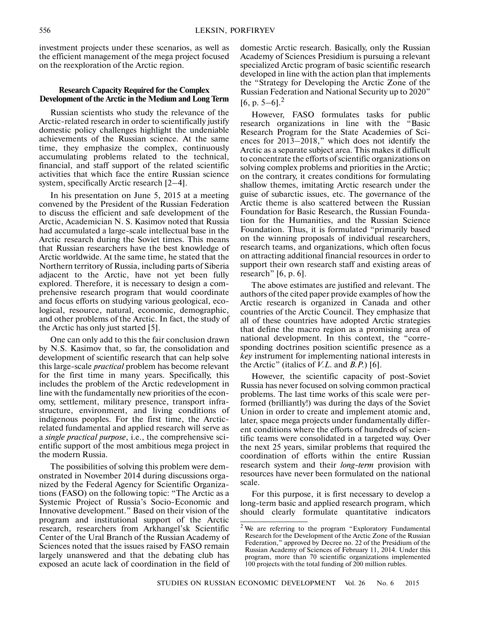investment projects under these scenarios, as well as the efficient management of the mega project focused on the reexploration of the Arctic region.

## **Research Capacity Required for the Complex Development of the Arctic in the Medium and Long Term**

Russian scientists who study the relevance of the Arctic-related research in order to scientifically justify domestic policy challenges highlight the undeniable achievements of the Russian science. At the same time, they emphasize the complex, continuously accumulating problems related to the technical, financial, and staff support of the related scientific activities that which face the entire Russian science system, specifically Arctic research [2–4].

In his presentation on June 5, 2015 at a meeting convened by the President of the Russian Federation to discuss the efficient and safe development of the Arctic, Academician N. S. Kasimov noted that Russia had accumulated a large-scale intellectual base in the Arctic research during the Soviet times. This means that Russian researchers have the best knowledge of Arctic worldwide. At the same time, he stated that the Northern territory of Russia, including parts of Siberia adjacent to the Arctic, have not yet been fully explored. Therefore, it is necessary to design a com prehensive research program that would coordinate and focus efforts on studying various geological, eco logical, resource, natural, economic, demographic, and other problems of the Arctic. In fact, the study of the Arctic has only just started [5].

One can only add to this the fair conclusion drawn by N.S. Kasimov that, so far, the consolidation and development of scientific research that can help solve this large-scale *practical* problem has become relevant for the first time in many years. Specifically, this includes the problem of the Arctic redevelopment in line with the fundamentally new priorities of the econ omy, settlement, military presence, transport infra structure, environment, and living conditions of indigenous peoples. For the first time, the Arctic related fundamental and applied research will serve as a *single practical purpose*, i.e., the comprehensive sci entific support of the most ambitious mega project in the modern Russia.

The possibilities of solving this problem were dem onstrated in November 2014 during discussions orga nized by the Federal Agency for Scientific Organiza tions (FASO) on the following topic: "The Arctic as a Systemic Project of Russia's Socio-Economic and Innovative development." Based on their vision of the program and institutional support of the Arctic research, researchers from Arkhangel'sk Scientific Center of the Ural Branch of the Russian Academy of Sciences noted that the issues raised by FASO remain largely unanswered and that the debating club has exposed an acute lack of coordination in the field of domestic Arctic research. Basically, only the Russian Academy of Sciences Presidium is pursuing a relevant specialized Arctic program of basic scientific research developed in line with the action plan that implements the "Strategy for Developing the Arctic Zone of the Russian Federation and National Security up to 2020"  $[6, p. 5-6]$ <sup>2</sup>

However, FASO formulates tasks for public research organizations in line with the "Basic Research Program for the State Academies of Sci ences for 2013–2018," which does not identify the Arctic as a separate subject area. This makes it difficult to concentrate the efforts of scientific organizations on solving complex problems and priorities in the Arctic; on the contrary, it creates conditions for formulating shallow themes, imitating Arctic research under the guise of subarctic issues, etc. The governance of the Arctic theme is also scattered between the Russian Foundation for Basic Research, the Russian Founda tion for the Humanities, and the Russian Science Foundation. Thus, it is formulated "primarily based on the winning proposals of individual researchers, research teams, and organizations, which often focus on attracting additional financial resources in order to support their own research staff and existing areas of research" [6, p. 6].

The above estimates are justified and relevant. The authors of the cited paper provide examples of how the Arctic research is organized in Canada and other countries of the Arctic Council. They emphasize that all of these countries have adopted Arctic strategies that define the macro region as a promising area of national development. In this context, the "corre sponding doctrines position scientific presence as a *key* instrument for implementing national interests in the Arctic" (italics of *V.L.* and *B.P.*) [6].

However, the scientific capacity of post-Soviet Russia has never focused on solving common practical problems. The last time works of this scale were per formed (brilliantly!) was during the days of the Soviet Union in order to create and implement atomic and, later, space mega projects under fundamentally differ ent conditions where the efforts of hundreds of scien tific teams were consolidated in a targeted way. Over the next 25 years, similar problems that required the coordination of efforts within the entire Russian research system and their *long-term* provision with resources have never been formulated on the national scale.

For this purpose, it is first necessary to develop a long-term basic and applied research program, which should clearly formulate quantitative indicators

<sup>&</sup>lt;sup>2</sup> We are referring to the program "Exploratory Fundamental Research for the Development of the Arctic Zone of the Russian Federation," approved by Decree no. 22 of the Presidium of the Russian Academy of Sciences of February 11, 2014. Under this program, more than 70 scientific organizations implemented 100 projects with the total funding of 200 million rubles.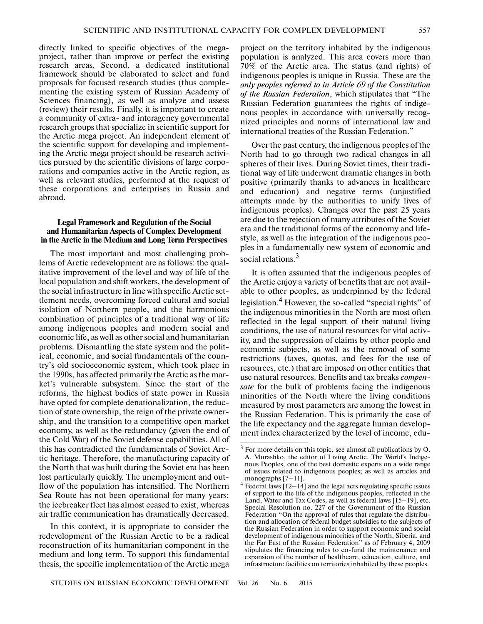directly linked to specific objectives of the mega project, rather than improve or perfect the existing research areas. Second, a dedicated institutional framework should be elaborated to select and fund proposals for focused research studies (thus comple menting the existing system of Russian Academy of Sciences financing), as well as analyze and assess (review) their results. Finally, it is important to create a community of extra- and interagency governmental research groups that specialize in scientific support for the Arctic mega project. An independent element of the scientific support for developing and implement ing the Arctic mega project should be research activi ties pursued by the scientific divisions of large corpo rations and companies active in the Arctic region, as well as relevant studies, performed at the request of these corporations and enterprises in Russia and abroad.

## **Legal Framework and Regulation of the Social and Humanitarian Aspects of Complex Development in the Arctic in the Medium and Long Term Perspectives**

The most important and most challenging prob lems of Arctic redevelopment are as follows: the qual itative improvement of the level and way of life of the local population and shift workers, the development of the social infrastructure in line with specific Arctic set tlement needs, overcoming forced cultural and social isolation of Northern people, and the harmonious combination of principles of a traditional way of life among indigenous peoples and modern social and economic life, as well as other social and humanitarian problems. Dismantling the state system and the polit ical, economic, and social fundamentals of the coun try's old socioeconomic system, which took place in the 1990s, has affected primarily the Arctic as the mar ket's vulnerable subsystem. Since the start of the reforms, the highest bodies of state power in Russia have opted for complete denationalization, the reduc tion of state ownership, the reign of the private owner ship, and the transition to a competitive open market economy, as well as the redundancy (given the end of the Cold War) of the Soviet defense capabilities. All of this has contradicted the fundamentals of Soviet Arc tic heritage. Therefore, the manufacturing capacity of the North that was built during the Soviet era has been lost particularly quickly. The unemployment and out flow of the population has intensified. The Northern Sea Route has not been operational for many years; the icebreaker fleet has almost ceased to exist, whereas air traffic communication has dramatically decreased.

In this context, it is appropriate to consider the redevelopment of the Russian Arctic to be a radical reconstruction of its humanitarian component in the medium and long term. To support this fundamental thesis, the specific implementation of the Arctic mega

project on the territory inhabited by the indigenous population is analyzed. This area covers more than 70% of the Arctic area. The status (and rights) of indigenous peoples is unique in Russia. These are the *only peoples referred to in Article 69 of the Constitution of the Russian Federation*, which stipulates that "The Russian Federation guarantees the rights of indige nous peoples in accordance with universally recog nized principles and norms of international law and international treaties of the Russian Federation."

Over the past century, the indigenous peoples of the North had to go through two radical changes in all spheres of their lives. During Soviet times, their tradi tional way of life underwent dramatic changes in both positive (primarily thanks to advances in healthcare and education) and negative terms (unjustified attempts made by the authorities to unify lives of indigenous peoples). Changes over the past 25 years are due to the rejection of many attributes of the Soviet era and the traditional forms of the economy and life style, as well as the integration of the indigenous peo ples in a fundamentally new system of economic and social relations.<sup>3</sup>

It is often assumed that the indigenous peoples of the Arctic enjoy a variety of benefits that are not avail able to other peoples, as underpinned by the federal legislation.<sup>4</sup> However, the so-called "special rights" of the indigenous minorities in the North are most often reflected in the legal support of their natural living conditions, the use of natural resources for vital activ ity, and the suppression of claims by other people and economic subjects, as well as the removal of some restrictions (taxes, quotas, and fees for the use of resources, etc.) that are imposed on other entities that use natural resources. Benefits and tax breaks *compen sate* for the bulk of problems facing the indigenous minorities of the North where the living conditions measured by most parameters are among the lowest in the Russian Federation. This is primarily the case of the life expectancy and the aggregate human develop ment index characterized by the level of income, edu-

<sup>3</sup> For more details on this topic, see almost all publications by O. A. Murashko, the editor of Living Arctic. The World's Indige nous Peoples, one of the best domestic experts on a wide range of issues related to indigenous peoples; as well as articles and monographs [7–11].

<sup>4</sup> Federal laws [12–14] and the legal acts regulating specific issues of support to the life of the indigenous peoples, reflected in the Land, Water and Tax Codes, as well as federal laws [15–19], etc. Special Resolution no. 227 of the Government of the Russian Federation "On the approval of rules that regulate the distribu tion and allocation of federal budget subsidies to the subjects of the Russian Federation in order to support economic and social development of indigenous minorities of the North, Siberia, and the Far East of the Russian Federation" as of February 4, 2009 stipulates the financing rules to co-fund the maintenance and expansion of the number of healthcare, education, culture, and infrastructure facilities on territories inhabited by these peoples.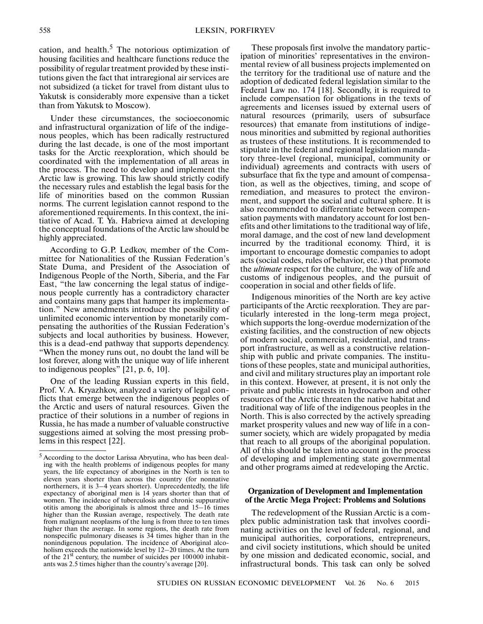cation, and health. $5$  The notorious optimization of housing facilities and healthcare functions reduce the possibility of regular treatment provided by these insti tutions given the fact that intraregional air services are not subsidized (a ticket for travel from distant ulus to Yakutsk is considerably more expensive than a ticket than from Yakutsk to Moscow).

Under these circumstances, the socioeconomic and infrastructural organization of life of the indige nous peoples, which has been radically restructured during the last decade, is one of the most important tasks for the Arctic reexploration, which should be coordinated with the implementation of all areas in the process. The need to develop and implement the Arctic law is growing. This law should strictly codify the necessary rules and establish the legal basis for the life of minorities based on the common Russian norms. The current legislation cannot respond to the aforementioned requirements. In this context, the ini tiative of Acad. T. Ya. Habrieva aimed at developing the conceptual foundations of the Arctic law should be highly appreciated.

According to G.P. Ledkov, member of the Com mittee for Nationalities of the Russian Federation's State Duma, and President of the Association of Indigenous People of the North, Siberia, and the Far East, "the law concerning the legal status of indige nous people currently has a contradictory character and contains many gaps that hamper its implementa tion." New amendments introduce the possibility of unlimited economic intervention by monetarily compensating the authorities of the Russian Federation's subjects and local authorities by business. However, this is a dead-end pathway that supports dependency. "When the money runs out, no doubt the land will be lost forever, along with the unique way of life inherent to indigenous peoples" [21, p. 6, 10].

One of the leading Russian experts in this field, Prof. V. A. Kryazhkov, analyzed a variety of legal con flicts that emerge between the indigenous peoples of the Arctic and users of natural resources. Given the practice of their solutions in a number of regions in Russia, he has made a number of valuable constructive suggestions aimed at solving the most pressing prob lems in this respect [22].

These proposals first involve the mandatory partic ipation of minorities' representatives in the environ mental review of all business projects implemented on the territory for the traditional use of nature and the adoption of dedicated federal legislation similar to the Federal Law no. 174 [18]. Secondly, it is required to include compensation for obligations in the texts of agreements and licenses issued by external users of natural resources (primarily, users of subsurface resources) that emanate from institutions of indige nous minorities and submitted by regional authorities as trustees of these institutions. It is recommended to stipulate in the federal and regional legislation manda tory three-level (regional, municipal, community or individual) agreements and contracts with users of subsurface that fix the type and amount of compensa tion, as well as the objectives, timing, and scope of remediation, and measures to protect the environ ment, and support the social and cultural sphere. It is also recommended to differentiate between compen sation payments with mandatory account for lost ben efits and other limitations to the traditional way of life, moral damage, and the cost of new land development incurred by the traditional economy. Third, it is important to encourage domestic companies to adopt acts (social codes, rules of behavior, etc.) that promote the *ultimate* respect for the culture, the way of life and customs of indigenous peoples, and the pursuit of cooperation in social and other fields of life.

Indigenous minorities of the North are key active participants of the Arctic reexploration. They are par ticularly interested in the long-term mega project, which supports the long-overdue modernization of the existing facilities, and the construction of new objects of modern social, commercial, residential, and trans port infrastructure, as well as a constructive relation ship with public and private companies. The institu tions of these peoples, state and municipal authorities, and civil and military structures play an important role in this context. However, at present, it is not only the private and public interests in hydrocarbon and other resources of the Arctic threaten the native habitat and traditional way of life of the indigenous peoples in the North. This is also corrected by the actively spreading market prosperity values and new way of life in a con sumer society, which are widely propagated by media that reach to all groups of the aboriginal population. All of this should be taken into account in the process of developing and implementing state governmental and other programs aimed at redeveloping the Arctic.

#### **Organization of Development and Implementation of the Arctic Mega Project: Problems and Solutions**

The redevelopment of the Russian Arctic is a com plex public administration task that involves coordi nating activities on the level of federal, regional, and municipal authorities, corporations, entrepreneurs, and civil society institutions, which should be united by one mission and dedicated economic, social, and infrastructural bonds. This task can only be solved

<sup>&</sup>lt;sup>5</sup> According to the doctor Larissa Abryutina, who has been dealing with the health problems of indigenous peoples for many years, the life expectancy of aborigines in the North is ten to eleven years shorter than across the country (for nonnative northerners, it is 3–4 years shorter). Unprecedentedly, the life expectancy of aboriginal men is 14 years shorter than that of women. The incidence of tuberculosis and chronic suppurative otitis among the aboriginals is almost three and 15–16 times higher than the Russian average, respectively. The death rate from malignant neoplasms of the lung is from three to ten times higher than the average. In some regions, the death rate from nonspecific pulmonary diseases is 34 times higher than in the nonindigenous population. The incidence of Aboriginal alco holism exceeds the nationwide level by 12–20 times. At the turn of the  $21<sup>st</sup>$  century, the number of suicides per  $100000$  inhabitants was 2.5 times higher than the country's average [20].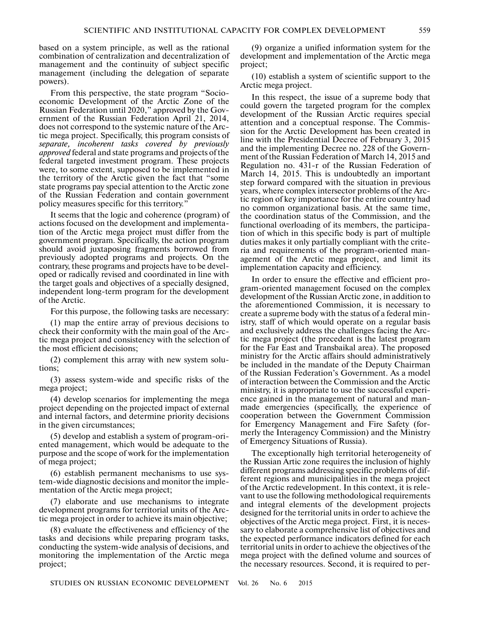based on a system principle, as well as the rational combination of centralization and decentralization of management and the continuity of subject specific management (including the delegation of separate powers).

From this perspective, the state program "Socio economic Development of the Arctic Zone of the Russian Federation until 2020," approved by the Gov ernment of the Russian Federation April 21, 2014, does not correspond to the systemic nature of the Arc tic mega project. Specifically, this program consists of *separate, incoherent tasks covered by previously approved* federal and state programs and projects of the federal targeted investment program. These projects were, to some extent, supposed to be implemented in the territory of the Arctic given the fact that "some state programs pay special attention to the Arctic zone of the Russian Federation and contain government policy measures specific for this territory."

It seems that the logic and coherence (program) of actions focused on the development and implementa tion of the Arctic mega project must differ from the government program. Specifically, the action program should avoid juxtaposing fragments borrowed from previously adopted programs and projects. On the contrary, these programs and projects have to be devel oped or radically revised and coordinated in line with the target goals and objectives of a specially designed, independent long-term program for the development of the Arctic.

For this purpose, the following tasks are necessary:

(1) map the entire array of previous decisions to check their conformity with the main goal of the Arc tic mega project and consistency with the selection of the most efficient decisions;

(2) complement this array with new system solu tions;

(3) assess system-wide and specific risks of the mega project;

(4) develop scenarios for implementing the mega project depending on the projected impact of external and internal factors, and determine priority decisions in the given circumstances;

(5) develop and establish a system of program-ori ented management, which would be adequate to the purpose and the scope of work for the implementation of mega project;

(6) establish permanent mechanisms to use sys tem-wide diagnostic decisions and monitor the imple mentation of the Arctic mega project;

(7) elaborate and use mechanisms to integrate development programs for territorial units of the Arc tic mega project in order to achieve its main objective;

(8) evaluate the effectiveness and efficiency of the tasks and decisions while preparing program tasks, conducting the system-wide analysis of decisions, and monitoring the implementation of the Arctic mega project;

(9) organize a unified information system for the development and implementation of the Arctic mega project;

(10) establish a system of scientific support to the Arctic mega project.

In this respect, the issue of a supreme body that could govern the targeted program for the complex development of the Russian Arctic requires special attention and a conceptual response. The Commis sion for the Arctic Development has been created in line with the Presidential Decree of February 3, 2015 and the implementing Decree no. 228 of the Govern ment of the Russian Federation of March 14, 2015 and Regulation no. 431-r of the Russian Federation of March 14, 2015. This is undoubtedly an important step forward compared with the situation in previous years, where complex intersector problems of the Arc tic region of key importance for the entire country had no common organizational basis. At the same time, the coordination status of the Commission, and the functional overloading of its members, the participa tion of which in this specific body is part of multiple duties makes it only partially compliant with the crite ria and requirements of the program-oriented man agement of the Arctic mega project, and limit its implementation capacity and efficiency.

In order to ensure the effective and efficient pro gram-oriented management focused on the complex development of the Russian Arctic zone, in addition to the aforementioned Commission, it is necessary to create a supreme body with the status of a federal min istry, staff of which would operate on a regular basis and exclusively address the challenges facing the Arc tic mega project (the precedent is the latest program for the Far East and Transbaikal area). The proposed ministry for the Arctic affairs should administratively be included in the mandate of the Deputy Chairman of the Russian Federation's Government. As a model of interaction between the Commission and the Arctic ministry, it is appropriate to use the successful experi ence gained in the management of natural and man made emergencies (specifically, the experience of cooperation between the Government Commission for Emergency Management and Fire Safety (for merly the Interagency Commission) and the Ministry of Emergency Situations of Russia).

The exceptionally high territorial heterogeneity of the Russian Artic zone requires the inclusion of highly different programs addressing specific problems of dif ferent regions and municipalities in the mega project of the Arctic redevelopment. In this context, it is rele vant to use the following methodological requirements and integral elements of the development projects designed for the territorial units in order to achieve the objectives of the Arctic mega project. First, it is neces sary to elaborate a comprehensive list of objectives and the expected performance indicators defined for each territorial units in order to achieve the objectives of the mega project with the defined volume and sources of the necessary resources. Second, it is required to per